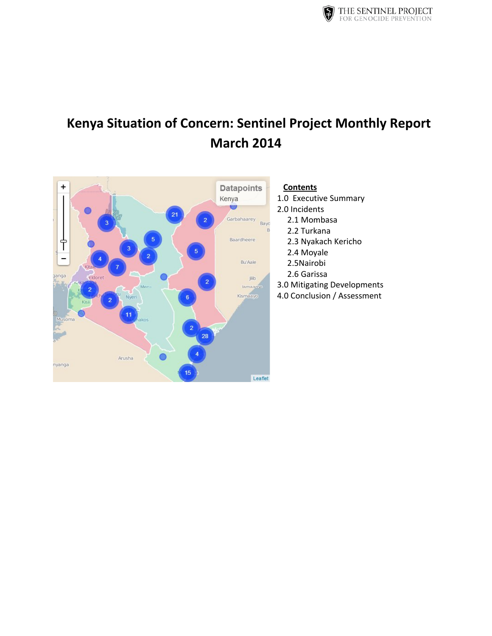

# **Kenya Situation of Concern: Sentinel Project Monthly Report March 2014**

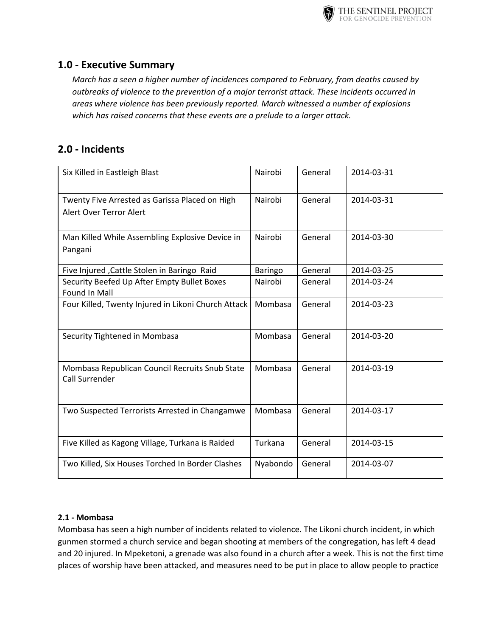

# **1.0 - Executive Summary**

*March has a seen a higher number of incidences compared to February, from deaths caused by outbreaks of violence to the prevention of a major terrorist attack. These incidents occurred in areas where violence has been previously reported. March witnessed a number of explosions which has raised concerns that these events are a prelude to a larger attack.*

# **2.0 - Incidents**

| Six Killed in Eastleigh Blast                                                    | Nairobi  | General | 2014-03-31 |
|----------------------------------------------------------------------------------|----------|---------|------------|
| Twenty Five Arrested as Garissa Placed on High<br><b>Alert Over Terror Alert</b> | Nairobi  | General | 2014-03-31 |
| Man Killed While Assembling Explosive Device in<br>Pangani                       | Nairobi  | General | 2014-03-30 |
| Five Injured , Cattle Stolen in Baringo Raid                                     | Baringo  | General | 2014-03-25 |
| Security Beefed Up After Empty Bullet Boxes<br>Found In Mall                     | Nairobi  | General | 2014-03-24 |
| Four Killed, Twenty Injured in Likoni Church Attack                              | Mombasa  | General | 2014-03-23 |
| Security Tightened in Mombasa                                                    | Mombasa  | General | 2014-03-20 |
| Mombasa Republican Council Recruits Snub State<br><b>Call Surrender</b>          | Mombasa  | General | 2014-03-19 |
| Two Suspected Terrorists Arrested in Changamwe                                   | Mombasa  | General | 2014-03-17 |
| Five Killed as Kagong Village, Turkana is Raided                                 | Turkana  | General | 2014-03-15 |
| Two Killed, Six Houses Torched In Border Clashes                                 | Nyabondo | General | 2014-03-07 |

## **2.1 - Mombasa**

Mombasa has seen a high number of incidents related to violence. The Likoni church incident, in which gunmen stormed a church service and began shooting at members of the congregation, has left 4 dead and 20 injured. In Mpeketoni, a grenade was also found in a church after a week. This is not the first time places of worship have been attacked, and measures need to be put in place to allow people to practice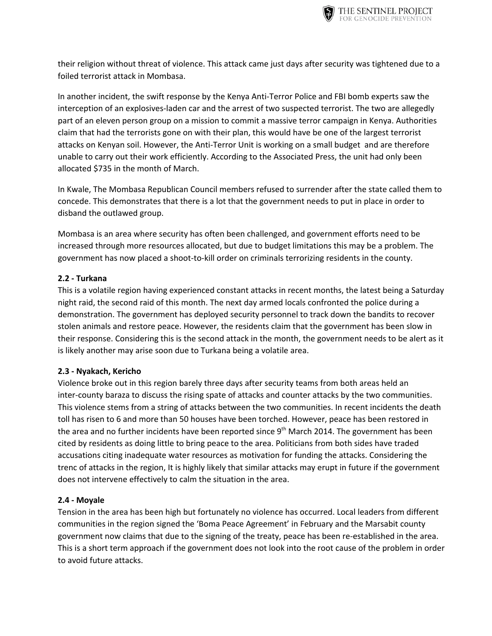

their religion without threat of violence. This attack came just days after security was tightened due to a foiled terrorist attack in Mombasa.

In another incident, the swift response by the Kenya Anti-Terror Police and FBI bomb experts saw the interception of an explosives-laden car and the arrest of two suspected terrorist. The two are allegedly part of an eleven person group on a mission to commit a massive terror campaign in Kenya. Authorities claim that had the terrorists gone on with their plan, this would have be one of the largest terrorist attacks on Kenyan soil. However, the Anti-Terror Unit is working on a small budget and are therefore unable to carry out their work efficiently. According to the Associated Press, the unit had only been allocated \$735 in the month of March.

In Kwale, The Mombasa Republican Council members refused to surrender after the state called them to concede. This demonstrates that there is a lot that the government needs to put in place in order to disband the outlawed group.

Mombasa is an area where security has often been challenged, and government efforts need to be increased through more resources allocated, but due to budget limitations this may be a problem. The government has now placed a shoot-to-kill order on criminals terrorizing residents in the county.

### **2.2 - Turkana**

This is a volatile region having experienced constant attacks in recent months, the latest being a Saturday night raid, the second raid of this month. The next day armed locals confronted the police during a demonstration. The government has deployed security personnel to track down the bandits to recover stolen animals and restore peace. However, the residents claim that the government has been slow in their response. Considering this is the second attack in the month, the government needs to be alert as it is likely another may arise soon due to Turkana being a volatile area.

#### **2.3 - Nyakach, Kericho**

Violence broke out in this region barely three days after security teams from both areas held an inter-county baraza to discuss the rising spate of attacks and counter attacks by the two communities. This violence stems from a string of attacks between the two communities. In recent incidents the death toll has risen to 6 and more than 50 houses have been torched. However, peace has been restored in the area and no further incidents have been reported since 9<sup>th</sup> March 2014. The government has been cited by residents as doing little to bring peace to the area. Politicians from both sides have traded accusations citing inadequate water resources as motivation for funding the attacks. Considering the trenc of attacks in the region, It is highly likely that similar attacks may erupt in future if the government does not intervene effectively to calm the situation in the area.

#### **2.4 - Moyale**

Tension in the area has been high but fortunately no violence has occurred. Local leaders from different communities in the region signed the 'Boma Peace Agreement' in February and the Marsabit county government now claims that due to the signing of the treaty, peace has been re-established in the area. This is a short term approach if the government does not look into the root cause of the problem in order to avoid future attacks.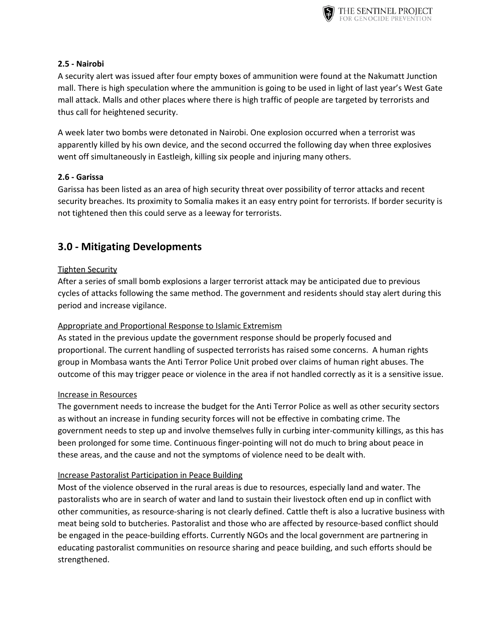

### **2.5 - Nairobi**

A security alert was issued after four empty boxes of ammunition were found at the Nakumatt Junction mall. There is high speculation where the ammunition is going to be used in light of last year's West Gate mall attack. Malls and other places where there is high traffic of people are targeted by terrorists and thus call for heightened security.

A week later two bombs were detonated in Nairobi. One explosion occurred when a terrorist was apparently killed by his own device, and the second occurred the following day when three explosives went off simultaneously in Eastleigh, killing six people and injuring many others.

## **2.6 - Garissa**

Garissa has been listed as an area of high security threat over possibility of terror attacks and recent security breaches. Its proximity to Somalia makes it an easy entry point for terrorists. If border security is not tightened then this could serve as a leeway for terrorists.

# **3.0 - Mitigating Developments**

## **Tighten Security**

After a series of small bomb explosions a larger terrorist attack may be anticipated due to previous cycles of attacks following the same method. The government and residents should stay alert during this period and increase vigilance.

## Appropriate and Proportional Response to Islamic Extremism

As stated in the previous update the government response should be properly focused and proportional. The current handling of suspected terrorists has raised some concerns. A human rights group in Mombasa wants the Anti Terror Police Unit probed over claims of human right abuses. The outcome of this may trigger peace or violence in the area if not handled correctly as it is a sensitive issue.

#### Increase in Resources

The government needs to increase the budget for the Anti Terror Police as well as other security sectors as without an increase in funding security forces will not be effective in combating crime. The government needs to step up and involve themselves fully in curbing inter-community killings, as this has been prolonged for some time. Continuous finger-pointing will not do much to bring about peace in these areas, and the cause and not the symptoms of violence need to be dealt with.

#### Increase Pastoralist Participation in Peace Building

Most of the violence observed in the rural areas is due to resources, especially land and water. The pastoralists who are in search of water and land to sustain their livestock often end up in conflict with other communities, as resource-sharing is not clearly defined. Cattle theft is also a lucrative business with meat being sold to butcheries. Pastoralist and those who are affected by resource-based conflict should be engaged in the peace-building efforts. Currently NGOs and the local government are partnering in educating pastoralist communities on resource sharing and peace building, and such efforts should be strengthened.